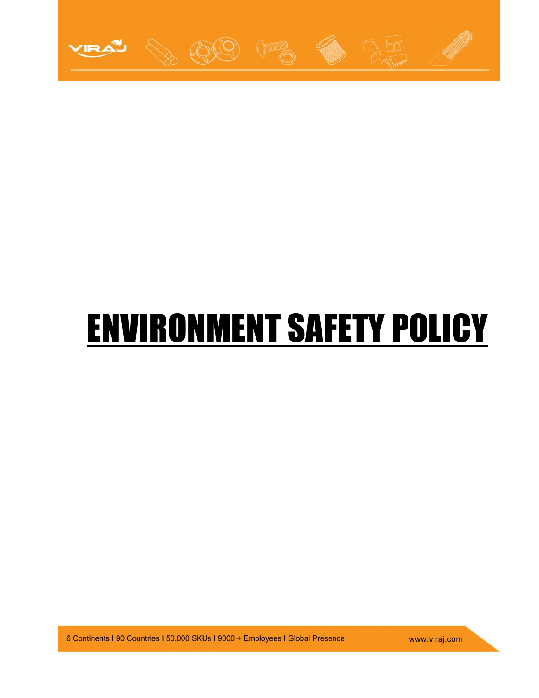

## ENVIRONMENT SAFETY POLICY

6 Continents I 90 Countries I 50,000 SKUs I 9000 + Employees I Global Presence

www.viraj.com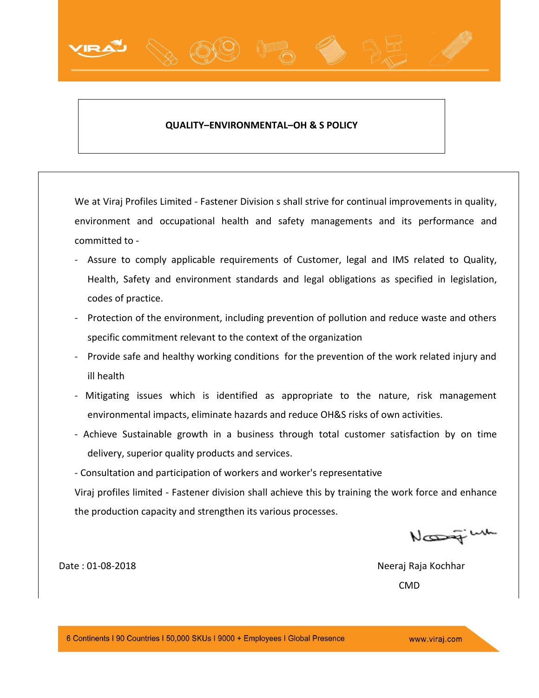## **QUALITY–ENVIRONMENTAL–OH & S POLICY**

We at Viraj Profiles Limited - Fastener Division s shall strive for continual improvements in quality, environment and occupational health and safety managements and its performance and committed to -

- Assure to comply applicable requirements of Customer, legal and IMS related to Quality, Health, Safety and environment standards and legal obligations as specified in legislation, codes of practice.
- Protection of the environment, including prevention of pollution and reduce waste and others specific commitment relevant to the context of the organization
- Provide safe and healthy working conditions for the prevention of the work related injury and ill health
- Mitigating issues which is identified as appropriate to the nature, risk management environmental impacts, eliminate hazards and reduce OH&S risks of own activities.
- Achieve Sustainable growth in a business through total customer satisfaction by on time delivery, superior quality products and services.
- Consultation and participation of workers and worker's representative

Viraj profiles limited - Fastener division shall achieve this by training the work force and enhance the production capacity and strengthen its various processes.

Nossey

Date : 01-08-2018 Neeraj Raja Kochhar CMD

www.viraj.com